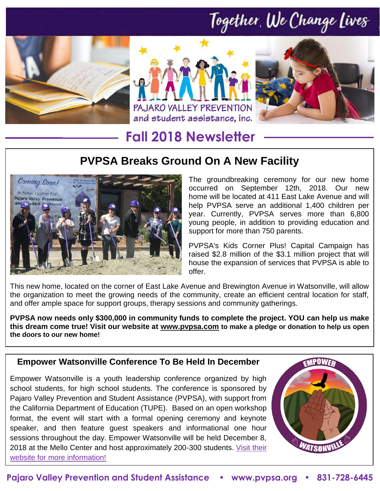# Together, We Change Lives







### **Fall 2018 Newsletter**

### **PVPSA Breaks Ground On A New Facility**



The groundbreaking ceremony for our new home occurred on September 12th, 2018. Our new home will be located at 411 East Lake Avenue and will help PVPSA serve an additional 1,400 children per year. Currently, PVPSA serves more than 6,800 young people, in addition to providing education and support for more than 750 parents.

PVPSA's Kids Corner Plus! Capital Campaign has raised \$2.8 million of the \$3.1 million project that will house the expansion of services that PVPSA is able to offer.

This new home, located on the corner of East Lake Avenue and Brewington Avenue in Watsonville, will allow the organization to meet the growing needs of the community, create an efficient central location for staff, and offer ample space for support groups, therapy sessions and community gatherings.

**PVPSA now needs only \$300,000 in community funds to complete the project. YOU can help us make this dream come true! Visit our website at www.pvpsa.com to make a pledge or donation to help us open the doors to our new home!**

### **Empower Watsonville Conference To Be Held In December**

Empower Watsonville is a youth leadership conference organized by high school students, for high school students. The conference is sponsored by Pajaro Valley Prevention and Student Assistance (PVPSA), with support from the California Department of Education (TUPE). Based on an open workshop format, the event will start with a formal opening ceremony and keynote speaker, and then feature guest speakers and informational one hour sessions throughout the day. Empower Watsonville will be held December 8, 2018 at the Mello Center and host approximately 200-300 students. [Visit their](http://www.pvpsa.org/about-us/empower-watsonville/)  [website for more information!](http://www.pvpsa.org/about-us/empower-watsonville/)